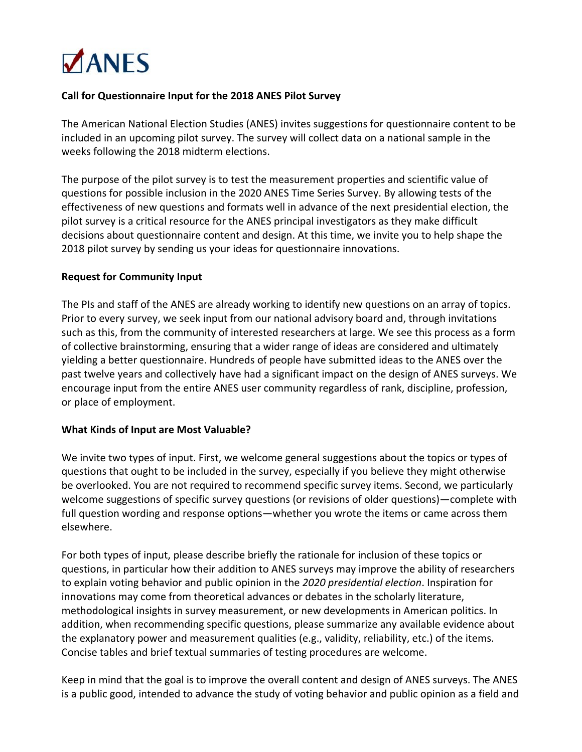

## **Call for Questionnaire Input for the 2018 ANES Pilot Survey**

The American National Election Studies (ANES) invites suggestions for questionnaire content to be included in an upcoming pilot survey. The survey will collect data on a national sample in the weeks following the 2018 midterm elections.

The purpose of the pilot survey is to test the measurement properties and scientific value of questions for possible inclusion in the 2020 ANES Time Series Survey. By allowing tests of the effectiveness of new questions and formats well in advance of the next presidential election, the pilot survey is a critical resource for the ANES principal investigators as they make difficult decisions about questionnaire content and design. At this time, we invite you to help shape the 2018 pilot survey by sending us your ideas for questionnaire innovations.

## **Request for Community Input**

The PIs and staff of the ANES are already working to identify new questions on an array of topics. Prior to every survey, we seek input from our national advisory board and, through invitations such as this, from the community of interested researchers at large. We see this process as a form of collective brainstorming, ensuring that a wider range of ideas are considered and ultimately yielding a better questionnaire. Hundreds of people have submitted ideas to the ANES over the past twelve years and collectively have had a significant impact on the design of ANES surveys. We encourage input from the entire ANES user community regardless of rank, discipline, profession, or place of employment.

## **What Kinds of Input are Most Valuable?**

We invite two types of input. First, we welcome general suggestions about the topics or types of questions that ought to be included in the survey, especially if you believe they might otherwise be overlooked. You are not required to recommend specific survey items. Second, we particularly welcome suggestions of specific survey questions (or revisions of older questions)—complete with full question wording and response options—whether you wrote the items or came across them elsewhere.

For both types of input, please describe briefly the rationale for inclusion of these topics or questions, in particular how their addition to ANES surveys may improve the ability of researchers to explain voting behavior and public opinion in the *2020 presidential election*. Inspiration for innovations may come from theoretical advances or debates in the scholarly literature, methodological insights in survey measurement, or new developments in American politics. In addition, when recommending specific questions, please summarize any available evidence about the explanatory power and measurement qualities (e.g., validity, reliability, etc.) of the items. Concise tables and brief textual summaries of testing procedures are welcome.

Keep in mind that the goal is to improve the overall content and design of ANES surveys. The ANES is a public good, intended to advance the study of voting behavior and public opinion as a field and